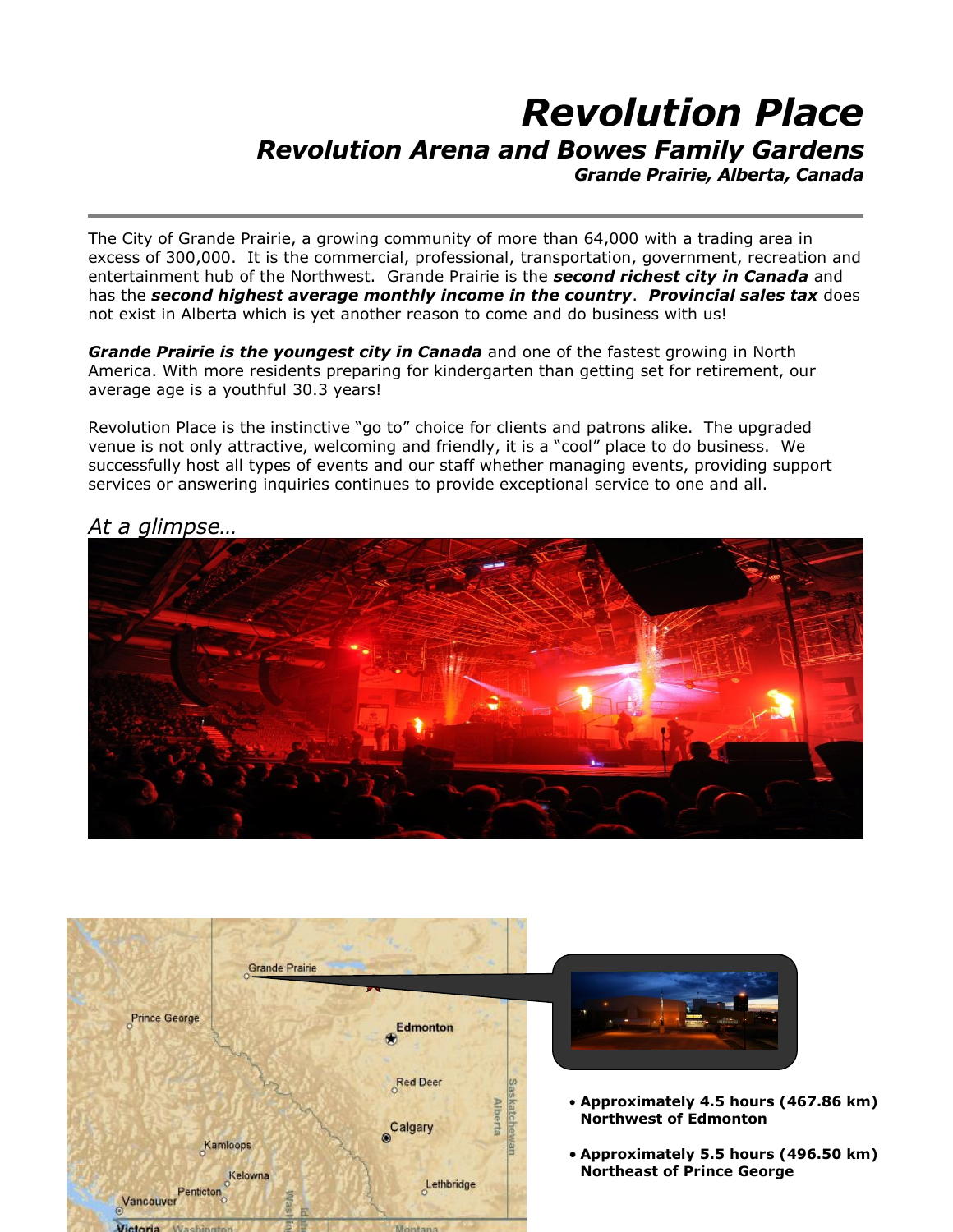## *Revolution Place Revolution Arena and Bowes Family Gardens Grande Prairie, Alberta, Canada*

The City of Grande Prairie, a growing community of more than 64,000 with a trading area in excess of 300,000. It is the commercial, professional, transportation, government, recreation and entertainment hub of the Northwest. Grande Prairie is the *second richest city in Canada* and has the *second highest average monthly income in the country*. *Provincial sales tax* does not exist in Alberta which is yet another reason to come and do business with us!

*Grande Prairie is the youngest city in Canada* and one of the fastest growing in North America. With more residents preparing for kindergarten than getting set for retirement, our average age is a youthful 30.3 years!

Revolution Place is the instinctive "go to" choice for clients and patrons alike. The upgraded venue is not only attractive, welcoming and friendly, it is a "cool" place to do business. We successfully host all types of events and our staff whether managing events, providing support services or answering inquiries continues to provide exceptional service to one and all.



## *At a glimpse…*

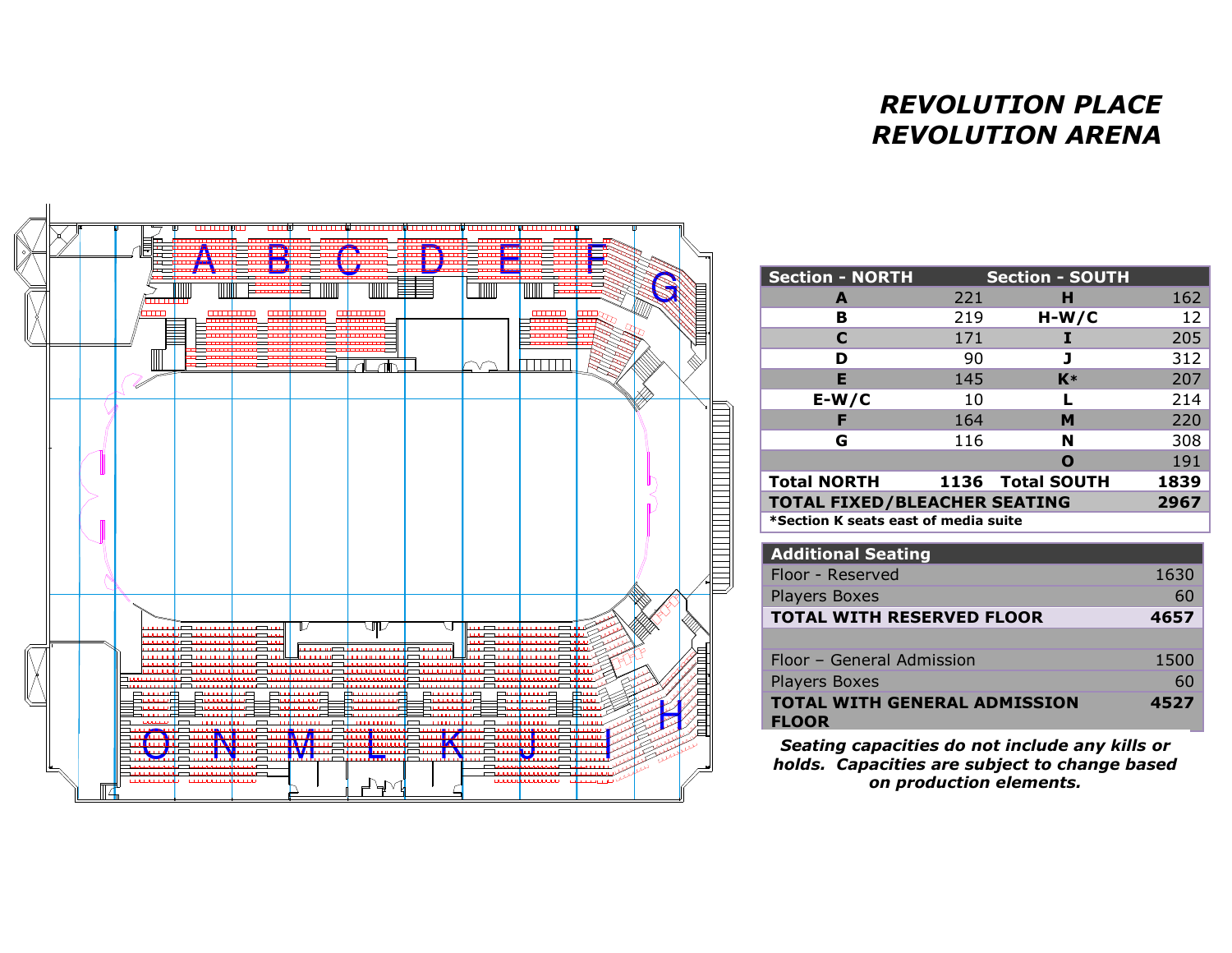## *REVOLUTION PLACE REVOLUTION ARENA*



| <b>Section - NORTH</b>                      |     | <b>Section - SOUTH</b> |      |
|---------------------------------------------|-----|------------------------|------|
| A                                           | 221 | н                      | 162  |
| в                                           | 219 | $H-W/C$                | 12   |
| C                                           | 171 |                        | 205  |
| D                                           | 90  |                        | 312  |
| F                                           | 145 | $K*$                   | 207  |
| $E-W/C$                                     | 10  |                        | 214  |
| F                                           | 164 | м                      | 220  |
| G                                           | 116 | N                      | 308  |
|                                             |     | Ω                      | 191  |
| <b>Total NORTH</b>                          |     | 1136 Total SOUTH       | 1839 |
| <b>TOTAL FIXED/BLEACHER SEATING</b><br>2967 |     |                        |      |
| *Section K seats east of media suite        |     |                        |      |
| <b>Additional Seating</b>                   |     |                        |      |

| 1630 |
|------|
| 60   |
| 4657 |
|      |
| 1500 |
| 60   |
| 4527 |
|      |

*Seating capacities do not include any kills or holds. Capacities are subject to change based on production elements.*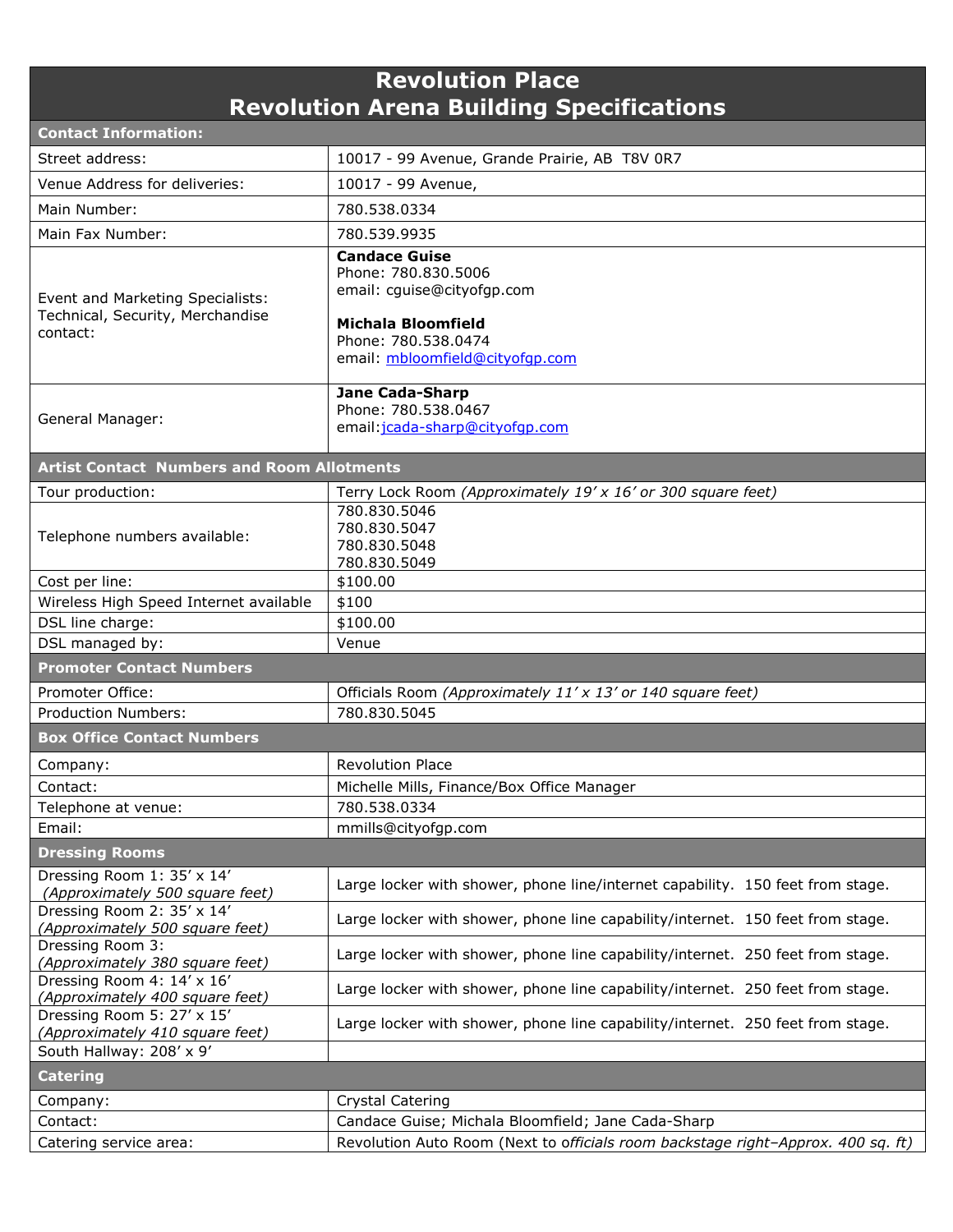| <b>Revolution Place</b>                                                          |                                                                                     |  |
|----------------------------------------------------------------------------------|-------------------------------------------------------------------------------------|--|
| <b>Revolution Arena Building Specifications</b>                                  |                                                                                     |  |
| <b>Contact Information:</b>                                                      |                                                                                     |  |
| Street address:                                                                  | 10017 - 99 Avenue, Grande Prairie, AB T8V 0R7                                       |  |
| Venue Address for deliveries:                                                    | 10017 - 99 Avenue,                                                                  |  |
| Main Number:                                                                     | 780.538.0334                                                                        |  |
| Main Fax Number:                                                                 | 780.539.9935                                                                        |  |
|                                                                                  | <b>Candace Guise</b>                                                                |  |
| Event and Marketing Specialists:<br>Technical, Security, Merchandise<br>contact: | Phone: 780.830.5006<br>email: cguise@cityofgp.com                                   |  |
|                                                                                  | <b>Michala Bloomfield</b><br>Phone: 780.538.0474<br>email: mbloomfield@cityofgp.com |  |
| General Manager:                                                                 | <b>Jane Cada-Sharp</b><br>Phone: 780.538.0467<br>email: jcada-sharp@cityofqp.com    |  |
| <b>Artist Contact Numbers and Room Allotments</b>                                |                                                                                     |  |
| Tour production:                                                                 | Terry Lock Room (Approximately 19' x 16' or 300 square feet)                        |  |
| Telephone numbers available:                                                     | 780.830.5046<br>780.830.5047<br>780.830.5048<br>780.830.5049                        |  |
| Cost per line:                                                                   | \$100.00                                                                            |  |
| Wireless High Speed Internet available                                           | \$100                                                                               |  |
| DSL line charge:                                                                 | \$100.00                                                                            |  |
| DSL managed by:                                                                  | Venue                                                                               |  |
| <b>Promoter Contact Numbers</b>                                                  |                                                                                     |  |
| Promoter Office:                                                                 | Officials Room (Approximately 11' x 13' or 140 square feet)                         |  |
| <b>Production Numbers:</b>                                                       | 780.830.5045                                                                        |  |
| <b>Box Office Contact Numbers</b>                                                |                                                                                     |  |
| Company:                                                                         | <b>Revolution Place</b>                                                             |  |
| Contact:                                                                         | Michelle Mills, Finance/Box Office Manager                                          |  |
| Telephone at venue:                                                              | 780.538.0334                                                                        |  |
| Email:                                                                           | mmills@cityofgp.com                                                                 |  |
| <b>Dressing Rooms</b>                                                            |                                                                                     |  |
| Dressing Room 1: 35' x 14'<br>(Approximately 500 square feet)                    | Large locker with shower, phone line/internet capability. 150 feet from stage.      |  |
| Dressing Room 2: 35' x 14'<br>(Approximately 500 square feet)                    | Large locker with shower, phone line capability/internet. 150 feet from stage.      |  |
| Dressing Room 3:<br>(Approximately 380 square feet)                              | Large locker with shower, phone line capability/internet. 250 feet from stage.      |  |
| Dressing Room 4: 14' x 16'<br>(Approximately 400 square feet)                    | Large locker with shower, phone line capability/internet. 250 feet from stage.      |  |
| Dressing Room 5: 27' x 15'<br>(Approximately 410 square feet)                    | Large locker with shower, phone line capability/internet. 250 feet from stage.      |  |
| South Hallway: 208' x 9'                                                         |                                                                                     |  |
| <b>Catering</b>                                                                  |                                                                                     |  |
| Company:                                                                         | <b>Crystal Catering</b>                                                             |  |
| Contact:                                                                         | Candace Guise; Michala Bloomfield; Jane Cada-Sharp                                  |  |
| Catering service area:                                                           | Revolution Auto Room (Next to officials room backstage right-Approx. 400 sq. ft)    |  |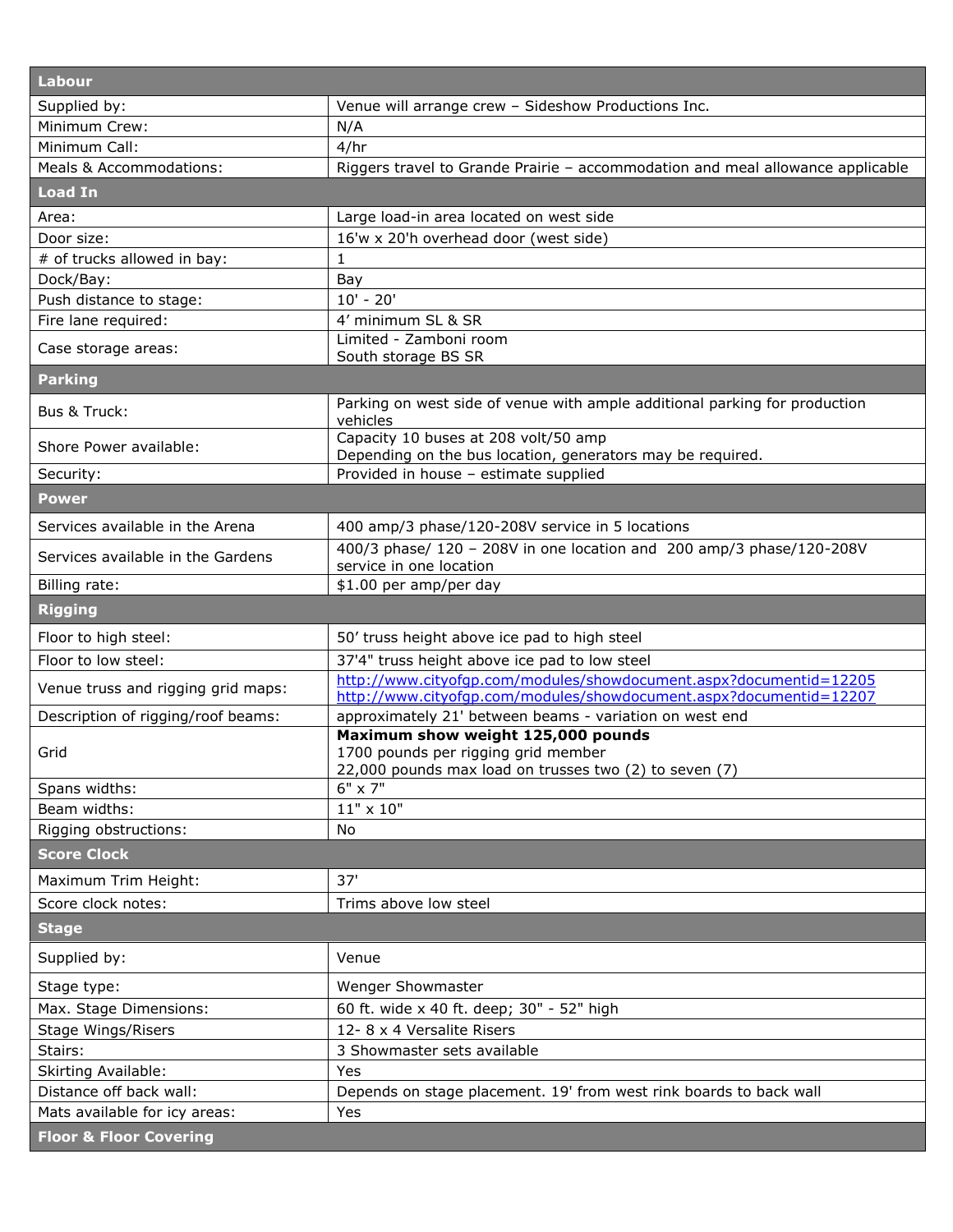| Labour                             |                                                                                                                                          |
|------------------------------------|------------------------------------------------------------------------------------------------------------------------------------------|
| Supplied by:                       | Venue will arrange crew - Sideshow Productions Inc.                                                                                      |
| Minimum Crew:                      | N/A                                                                                                                                      |
| Minimum Call:                      | 4/hr                                                                                                                                     |
| Meals & Accommodations:            | Riggers travel to Grande Prairie - accommodation and meal allowance applicable                                                           |
| <b>Load In</b>                     |                                                                                                                                          |
| Area:                              | Large load-in area located on west side                                                                                                  |
| Door size:                         | 16'w x 20'h overhead door (west side)                                                                                                    |
| # of trucks allowed in bay:        | 1                                                                                                                                        |
| Dock/Bay:                          | Bay                                                                                                                                      |
| Push distance to stage:            | $10' - 20'$                                                                                                                              |
| Fire lane required:                | 4' minimum SL & SR                                                                                                                       |
| Case storage areas:                | Limited - Zamboni room<br>South storage BS SR                                                                                            |
| <b>Parking</b>                     |                                                                                                                                          |
| Bus & Truck:                       | Parking on west side of venue with ample additional parking for production<br>vehicles                                                   |
| Shore Power available:             | Capacity 10 buses at 208 volt/50 amp<br>Depending on the bus location, generators may be required.                                       |
| Security:                          | Provided in house - estimate supplied                                                                                                    |
| <b>Power</b>                       |                                                                                                                                          |
| Services available in the Arena    | 400 amp/3 phase/120-208V service in 5 locations                                                                                          |
| Services available in the Gardens  | 400/3 phase/ 120 - 208V in one location and 200 amp/3 phase/120-208V<br>service in one location                                          |
| Billing rate:                      | \$1.00 per amp/per day                                                                                                                   |
| <b>Rigging</b>                     |                                                                                                                                          |
| Floor to high steel:               | 50' truss height above ice pad to high steel                                                                                             |
| Floor to low steel:                | 37'4" truss height above ice pad to low steel                                                                                            |
| Venue truss and rigging grid maps: | http://www.cityofgp.com/modules/showdocument.aspx?documentid=12205<br>http://www.cityofqp.com/modules/showdocument.aspx?documentid=12207 |
| Description of rigging/roof beams: | approximately 21' between beams - variation on west end                                                                                  |
| Grid                               | Maximum show weight 125,000 pounds<br>1700 pounds per rigging grid member<br>22,000 pounds max load on trusses two (2) to seven (7)      |
| Spans widths:                      | 6" x 7"                                                                                                                                  |
| Beam widths:                       | $11" \times 10"$                                                                                                                         |
| Rigging obstructions:              | <b>No</b>                                                                                                                                |
| <b>Score Clock</b>                 |                                                                                                                                          |
| Maximum Trim Height:               | 37'                                                                                                                                      |
| Score clock notes:                 | Trims above low steel                                                                                                                    |
| <b>Stage</b>                       |                                                                                                                                          |
| Supplied by:                       | Venue                                                                                                                                    |
| Stage type:                        | Wenger Showmaster                                                                                                                        |
| Max. Stage Dimensions:             | 60 ft. wide x 40 ft. deep; 30" - 52" high                                                                                                |
| <b>Stage Wings/Risers</b>          | 12-8 x 4 Versalite Risers                                                                                                                |
| Stairs:                            | 3 Showmaster sets available                                                                                                              |
| Skirting Available:                | Yes                                                                                                                                      |
| Distance off back wall:            | Depends on stage placement. 19' from west rink boards to back wall                                                                       |
| Mats available for icy areas:      | Yes                                                                                                                                      |
| <b>Floor &amp; Floor Covering</b>  |                                                                                                                                          |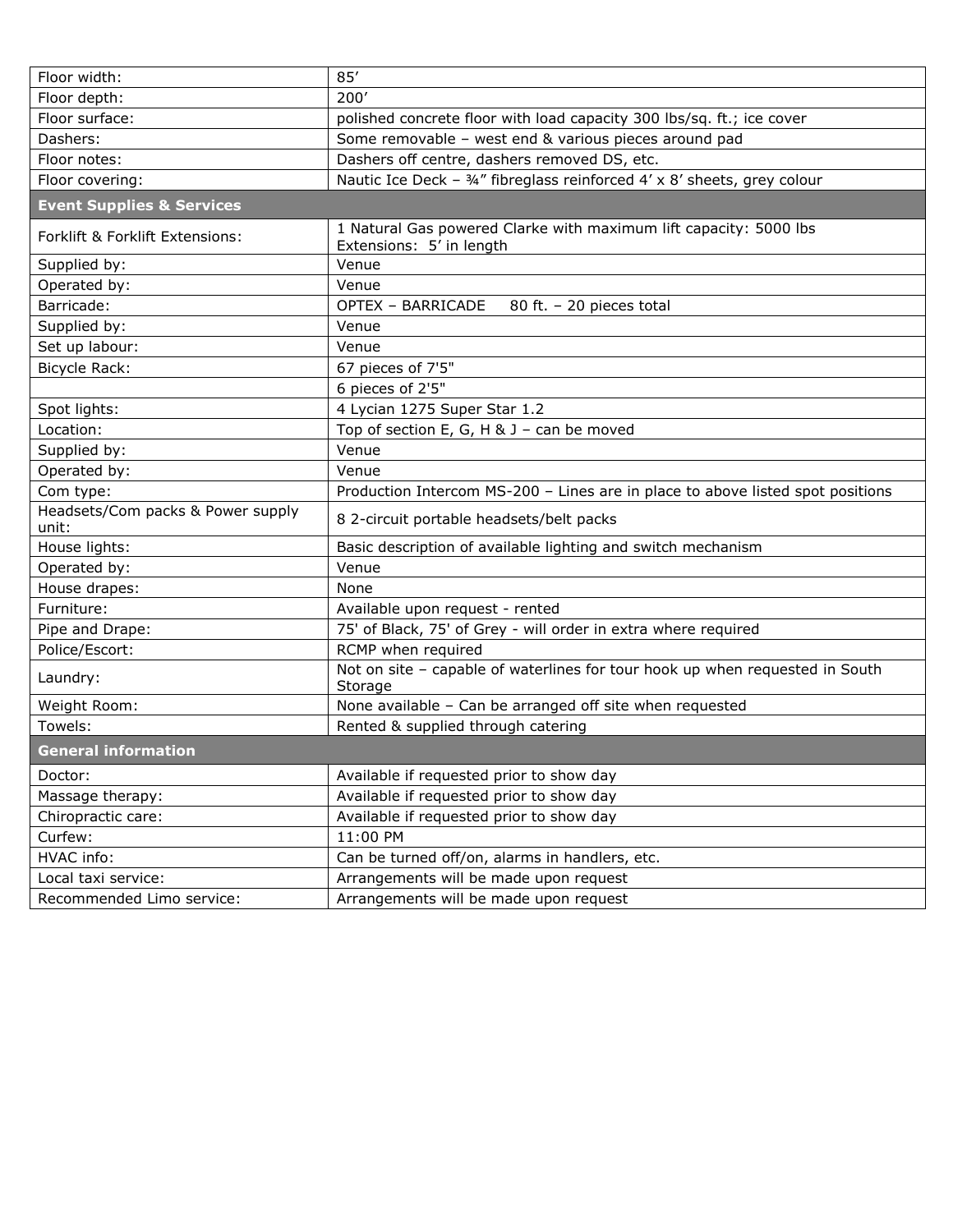| Floor width:                               | 85'                                                                                           |  |
|--------------------------------------------|-----------------------------------------------------------------------------------------------|--|
| Floor depth:                               | 200'                                                                                          |  |
| Floor surface:                             | polished concrete floor with load capacity 300 lbs/sq. ft.; ice cover                         |  |
| Dashers:                                   | Some removable - west end & various pieces around pad                                         |  |
| Floor notes:                               | Dashers off centre, dashers removed DS, etc.                                                  |  |
| Floor covering:                            | Nautic Ice Deck - 34" fibreglass reinforced 4' x 8' sheets, grey colour                       |  |
| <b>Event Supplies &amp; Services</b>       |                                                                                               |  |
| Forklift & Forklift Extensions:            | 1 Natural Gas powered Clarke with maximum lift capacity: 5000 lbs<br>Extensions: 5' in length |  |
| Supplied by:                               | Venue                                                                                         |  |
| Operated by:                               | Venue                                                                                         |  |
| Barricade:                                 | <b>OPTEX - BARRICADE</b><br>80 ft. - 20 pieces total                                          |  |
| Supplied by:                               | Venue                                                                                         |  |
| Set up labour:                             | Venue                                                                                         |  |
| Bicycle Rack:                              | 67 pieces of 7'5"                                                                             |  |
|                                            | 6 pieces of 2'5"                                                                              |  |
| Spot lights:                               | 4 Lycian 1275 Super Star 1.2                                                                  |  |
| Location:                                  | Top of section E, G, H & J - can be moved                                                     |  |
| Supplied by:                               | Venue                                                                                         |  |
| Operated by:                               | Venue                                                                                         |  |
| Com type:                                  | Production Intercom MS-200 - Lines are in place to above listed spot positions                |  |
| Headsets/Com packs & Power supply<br>unit: | 8 2-circuit portable headsets/belt packs                                                      |  |
| House lights:                              | Basic description of available lighting and switch mechanism                                  |  |
| Operated by:                               | Venue                                                                                         |  |
| House drapes:                              | None                                                                                          |  |
| Furniture:                                 | Available upon request - rented                                                               |  |
| Pipe and Drape:                            | 75' of Black, 75' of Grey - will order in extra where required                                |  |
| Police/Escort:                             | RCMP when required                                                                            |  |
| Laundry:                                   | Not on site - capable of waterlines for tour hook up when requested in South<br>Storage       |  |
| Weight Room:                               | None available - Can be arranged off site when requested                                      |  |
| Towels:                                    | Rented & supplied through catering                                                            |  |
| <b>General information</b>                 |                                                                                               |  |
| Doctor:                                    | Available if requested prior to show day                                                      |  |
| Massage therapy:                           | Available if requested prior to show day                                                      |  |
| Chiropractic care:                         | Available if requested prior to show day                                                      |  |
| Curfew:                                    | 11:00 PM                                                                                      |  |
| HVAC info:                                 | Can be turned off/on, alarms in handlers, etc.                                                |  |
| Local taxi service:                        | Arrangements will be made upon request                                                        |  |
| Recommended Limo service:                  | Arrangements will be made upon request                                                        |  |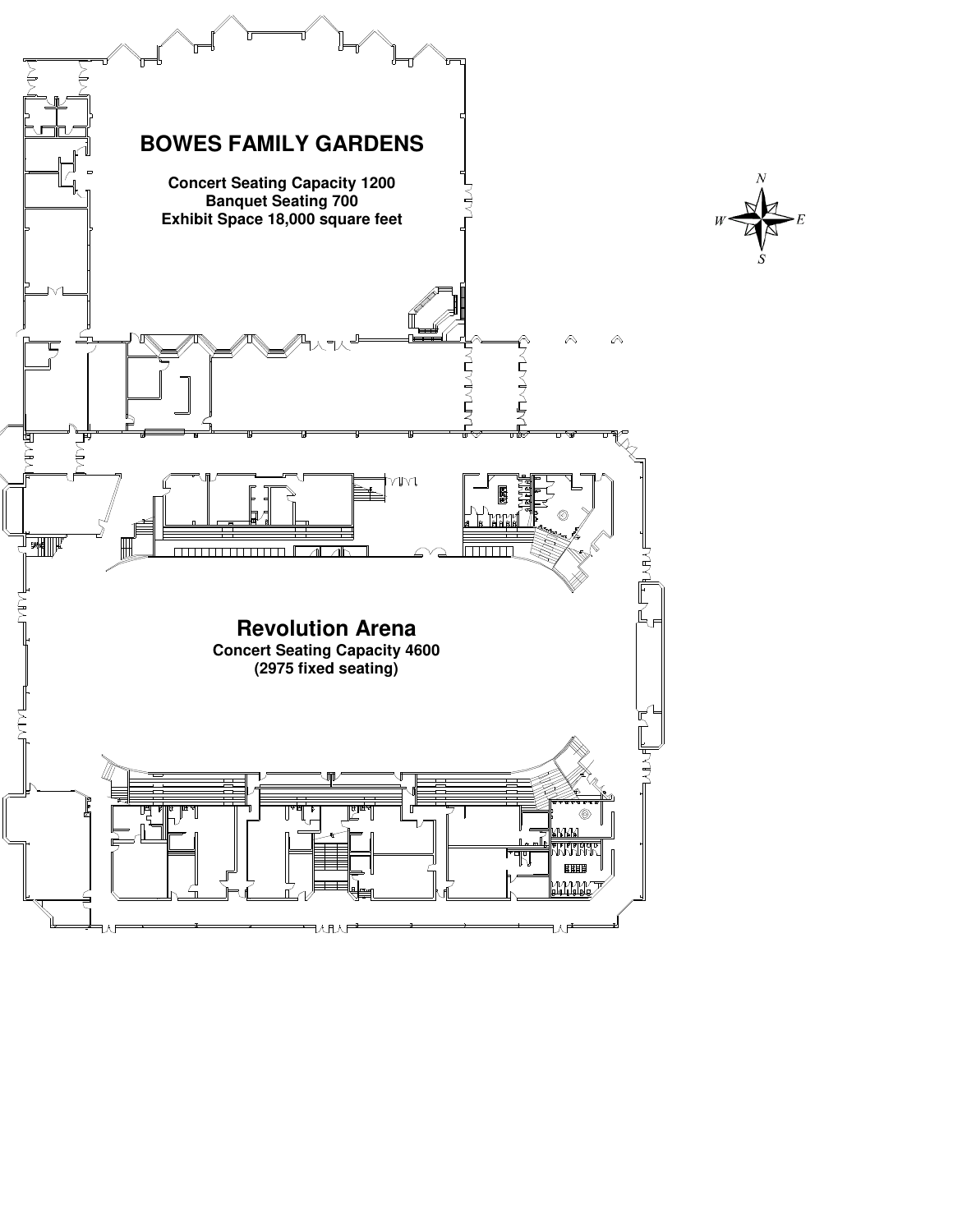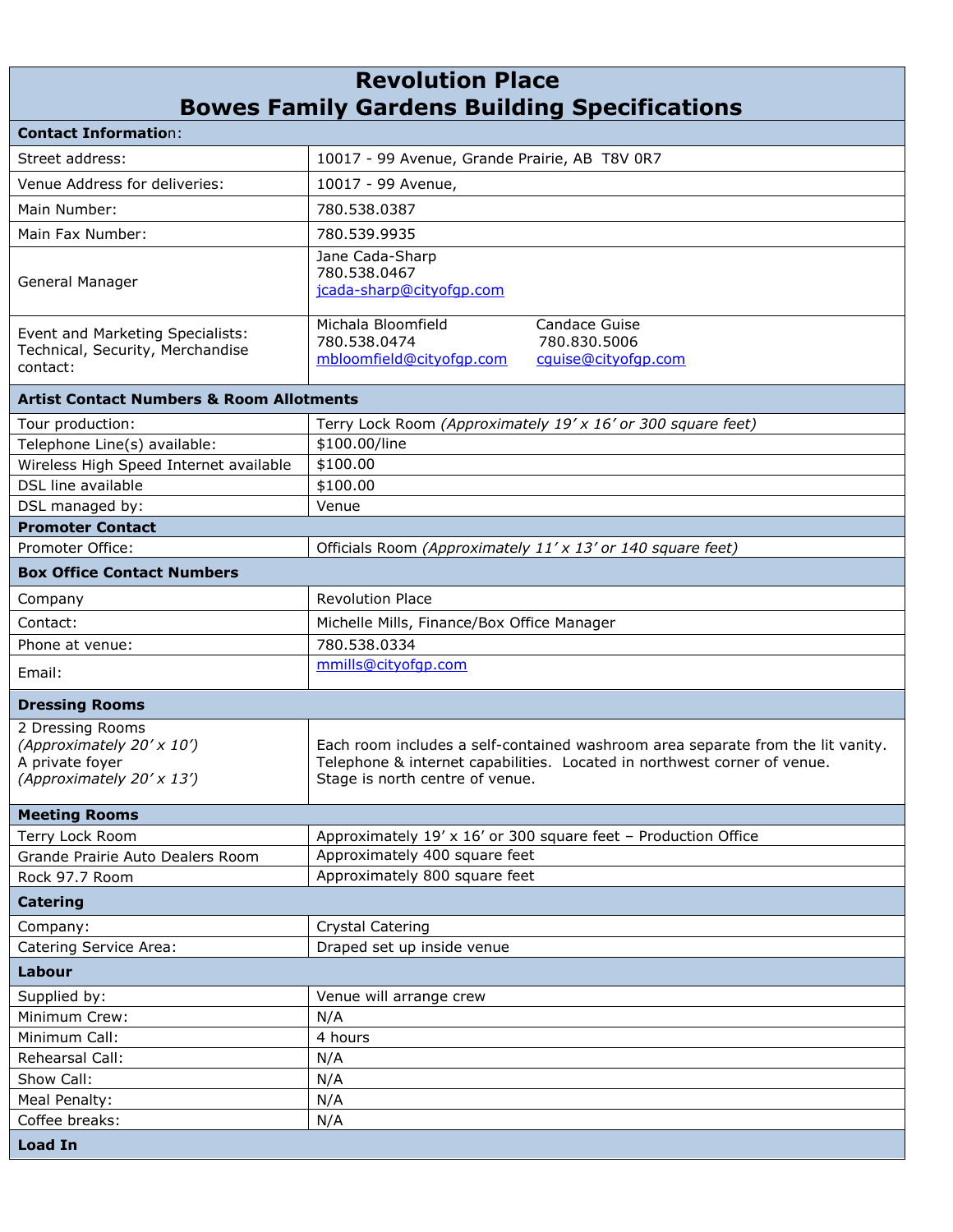## **Revolution Place Bowes Family Gardens Building Specifications**

| <b>Contact Information:</b>                                                                   |                                                                                                                                                                                                |
|-----------------------------------------------------------------------------------------------|------------------------------------------------------------------------------------------------------------------------------------------------------------------------------------------------|
| Street address:                                                                               | 10017 - 99 Avenue, Grande Prairie, AB T8V 0R7                                                                                                                                                  |
| Venue Address for deliveries:                                                                 | 10017 - 99 Avenue,                                                                                                                                                                             |
| Main Number:                                                                                  | 780.538.0387                                                                                                                                                                                   |
| Main Fax Number:                                                                              | 780.539.9935                                                                                                                                                                                   |
| General Manager                                                                               | Jane Cada-Sharp<br>780.538.0467<br>jcada-sharp@cityofqp.com                                                                                                                                    |
| Event and Marketing Specialists:<br>Technical, Security, Merchandise<br>contact:              | Michala Bloomfield<br>Candace Guise<br>780.538.0474<br>780.830.5006<br>mbloomfield@cityofqp.com<br>cquise@cityofgp.com                                                                         |
| <b>Artist Contact Numbers &amp; Room Allotments</b>                                           |                                                                                                                                                                                                |
| Tour production:<br>Telephone Line(s) available:                                              | Terry Lock Room (Approximately 19' x 16' or 300 square feet)<br>\$100.00/line                                                                                                                  |
| Wireless High Speed Internet available                                                        | \$100.00                                                                                                                                                                                       |
| DSL line available                                                                            | \$100.00                                                                                                                                                                                       |
| DSL managed by:                                                                               | Venue                                                                                                                                                                                          |
| <b>Promoter Contact</b>                                                                       |                                                                                                                                                                                                |
| Promoter Office:                                                                              | Officials Room (Approximately 11' x 13' or 140 square feet)                                                                                                                                    |
| <b>Box Office Contact Numbers</b>                                                             |                                                                                                                                                                                                |
| Company                                                                                       | <b>Revolution Place</b>                                                                                                                                                                        |
| Contact:                                                                                      | Michelle Mills, Finance/Box Office Manager                                                                                                                                                     |
| Phone at venue:                                                                               | 780.538.0334                                                                                                                                                                                   |
| Email:                                                                                        | mmills@cityofgp.com                                                                                                                                                                            |
| <b>Dressing Rooms</b>                                                                         |                                                                                                                                                                                                |
| 2 Dressing Rooms<br>(Approximately 20' x 10')<br>A private foyer<br>(Approximately 20' x 13') | Each room includes a self-contained washroom area separate from the lit vanity.<br>Telephone & internet capabilities. Located in northwest corner of venue.<br>Stage is north centre of venue. |
| <b>Meeting Rooms</b>                                                                          |                                                                                                                                                                                                |
| Terry Lock Room                                                                               | Approximately 19' x 16' or 300 square feet - Production Office                                                                                                                                 |
| Grande Prairie Auto Dealers Room                                                              | Approximately 400 square feet                                                                                                                                                                  |
| Rock 97.7 Room                                                                                | Approximately 800 square feet                                                                                                                                                                  |
| <b>Catering</b>                                                                               |                                                                                                                                                                                                |
| Company:                                                                                      | Crystal Catering                                                                                                                                                                               |
| Catering Service Area:                                                                        | Draped set up inside venue                                                                                                                                                                     |
| Labour                                                                                        |                                                                                                                                                                                                |
| Supplied by:                                                                                  | Venue will arrange crew                                                                                                                                                                        |
| Minimum Crew:                                                                                 | N/A                                                                                                                                                                                            |
| Minimum Call:                                                                                 | 4 hours                                                                                                                                                                                        |
| Rehearsal Call:                                                                               | N/A                                                                                                                                                                                            |
| Show Call:                                                                                    | N/A                                                                                                                                                                                            |
| Meal Penalty:                                                                                 | N/A                                                                                                                                                                                            |
| Coffee breaks:                                                                                | N/A                                                                                                                                                                                            |
| <b>Load In</b>                                                                                |                                                                                                                                                                                                |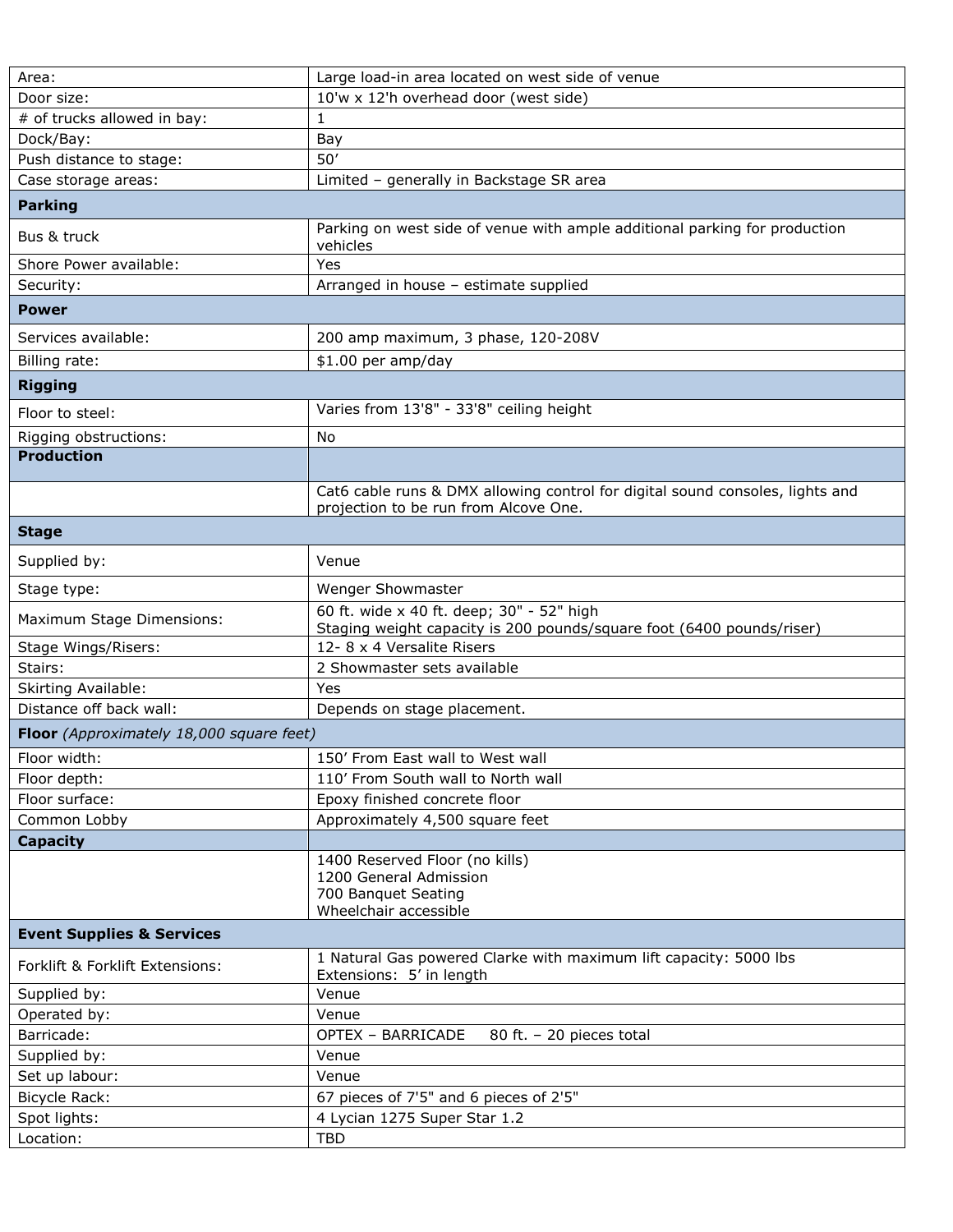| Area:                                    | Large load-in area located on west side of venue                                                                       |
|------------------------------------------|------------------------------------------------------------------------------------------------------------------------|
| Door size:                               | 10'w x 12'h overhead door (west side)                                                                                  |
| # of trucks allowed in bay:              | $\mathbf{1}$                                                                                                           |
| Dock/Bay:                                | Bay                                                                                                                    |
| Push distance to stage:                  | 50'                                                                                                                    |
| Case storage areas:                      | Limited - generally in Backstage SR area                                                                               |
| <b>Parking</b>                           |                                                                                                                        |
| Bus & truck                              | Parking on west side of venue with ample additional parking for production<br>vehicles                                 |
| Shore Power available:                   | Yes                                                                                                                    |
| Security:                                | Arranged in house - estimate supplied                                                                                  |
| <b>Power</b>                             |                                                                                                                        |
| Services available:                      | 200 amp maximum, 3 phase, 120-208V                                                                                     |
| Billing rate:                            | \$1.00 per amp/day                                                                                                     |
| <b>Rigging</b>                           |                                                                                                                        |
| Floor to steel:                          | Varies from 13'8" - 33'8" ceiling height                                                                               |
| Rigging obstructions:                    | No                                                                                                                     |
| <b>Production</b>                        |                                                                                                                        |
|                                          | Cat6 cable runs & DMX allowing control for digital sound consoles, lights and<br>projection to be run from Alcove One. |
| <b>Stage</b>                             |                                                                                                                        |
| Supplied by:                             | Venue                                                                                                                  |
| Stage type:                              | Wenger Showmaster                                                                                                      |
| Maximum Stage Dimensions:                | 60 ft. wide x 40 ft. deep; 30" - 52" high<br>Staging weight capacity is 200 pounds/square foot (6400 pounds/riser)     |
| Stage Wings/Risers:                      | 12-8 x 4 Versalite Risers                                                                                              |
| Stairs:                                  | 2 Showmaster sets available                                                                                            |
| <b>Skirting Available:</b>               | Yes                                                                                                                    |
| Distance off back wall:                  | Depends on stage placement.                                                                                            |
| Floor (Approximately 18,000 square feet) |                                                                                                                        |
| Floor width:                             | 150' From East wall to West wall                                                                                       |
| Floor depth:                             | 110' From South wall to North wall                                                                                     |
| Floor surface:                           | Epoxy finished concrete floor                                                                                          |
| Common Lobby                             | Approximately 4,500 square feet                                                                                        |
| <b>Capacity</b>                          |                                                                                                                        |
|                                          | 1400 Reserved Floor (no kills)<br>1200 General Admission<br>700 Banquet Seating<br>Wheelchair accessible               |
| <b>Event Supplies &amp; Services</b>     |                                                                                                                        |
| Forklift & Forklift Extensions:          | 1 Natural Gas powered Clarke with maximum lift capacity: 5000 lbs<br>Extensions: 5' in length                          |
| Supplied by:                             | Venue                                                                                                                  |
| Operated by:                             | Venue                                                                                                                  |
| Barricade:                               | <b>OPTEX - BARRICADE</b><br>80 ft. $-$ 20 pieces total                                                                 |
| Supplied by:                             | Venue                                                                                                                  |
| Set up labour:                           | Venue                                                                                                                  |
| Bicycle Rack:                            | 67 pieces of 7'5" and 6 pieces of 2'5"                                                                                 |
| Spot lights:                             | 4 Lycian 1275 Super Star 1.2                                                                                           |
| Location:                                | <b>TBD</b>                                                                                                             |